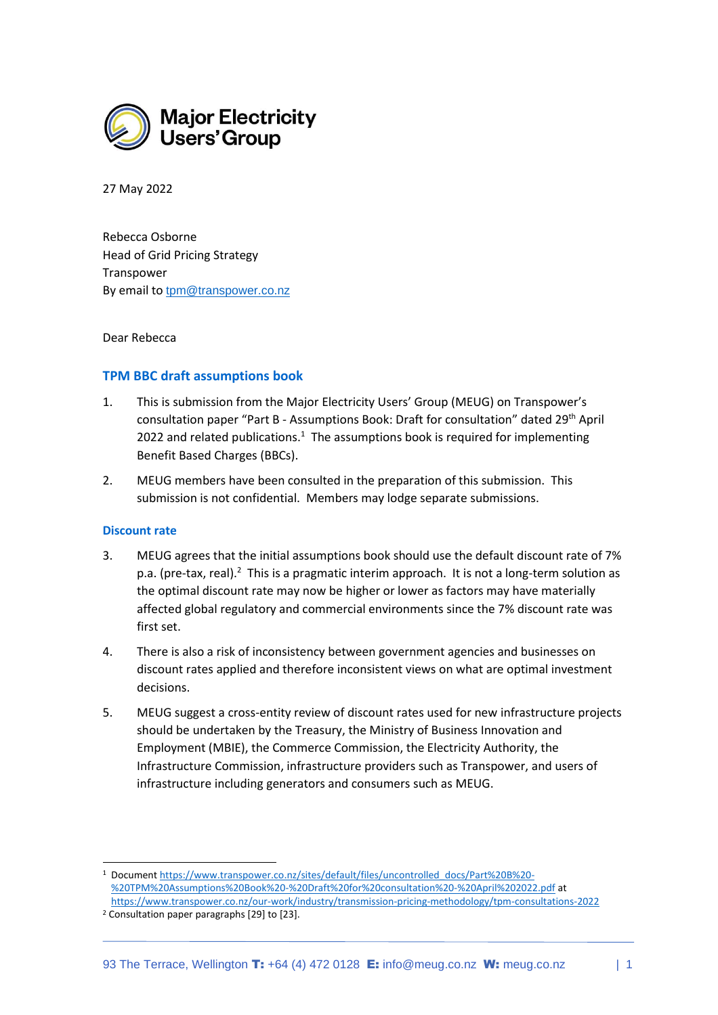

27 May 2022

Rebecca Osborne Head of Grid Pricing Strategy Transpower By email to [tpm@transpower.co.nz](mailto:tpm@transpower.co.nz)

Dear Rebecca

## **TPM BBC draft assumptions book**

- 1. This is submission from the Major Electricity Users' Group (MEUG) on Transpower's consultation paper "Part B - Assumptions Book: Draft for consultation" dated 29th April 2022 and related publications.<sup>1</sup> The assumptions book is required for implementing Benefit Based Charges (BBCs).
- 2. MEUG members have been consulted in the preparation of this submission. This submission is not confidential. Members may lodge separate submissions.

## **Discount rate**

- 3. MEUG agrees that the initial assumptions book should use the default discount rate of 7% p.a. (pre-tax, real). $2$  This is a pragmatic interim approach. It is not a long-term solution as the optimal discount rate may now be higher or lower as factors may have materially affected global regulatory and commercial environments since the 7% discount rate was first set.
- 4. There is also a risk of inconsistency between government agencies and businesses on discount rates applied and therefore inconsistent views on what are optimal investment decisions.
- 5. MEUG suggest a cross-entity review of discount rates used for new infrastructure projects should be undertaken by the Treasury, the Ministry of Business Innovation and Employment (MBIE), the Commerce Commission, the Electricity Authority, the Infrastructure Commission, infrastructure providers such as Transpower, and users of infrastructure including generators and consumers such as MEUG.

<sup>1</sup> Documen[t https://www.transpower.co.nz/sites/default/files/uncontrolled\\_docs/Part%20B%20-](https://www.transpower.co.nz/sites/default/files/uncontrolled_docs/Part%20B%20-%20TPM%20Assumptions%20Book%20-%20Draft%20for%20consultation%20-%20April%202022.pdf) [%20TPM%20Assumptions%20Book%20-%20Draft%20for%20consultation%20-%20April%202022.pdf](https://www.transpower.co.nz/sites/default/files/uncontrolled_docs/Part%20B%20-%20TPM%20Assumptions%20Book%20-%20Draft%20for%20consultation%20-%20April%202022.pdf) at <https://www.transpower.co.nz/our-work/industry/transmission-pricing-methodology/tpm-consultations-2022>

<sup>2</sup> Consultation paper paragraphs [29] to [23].